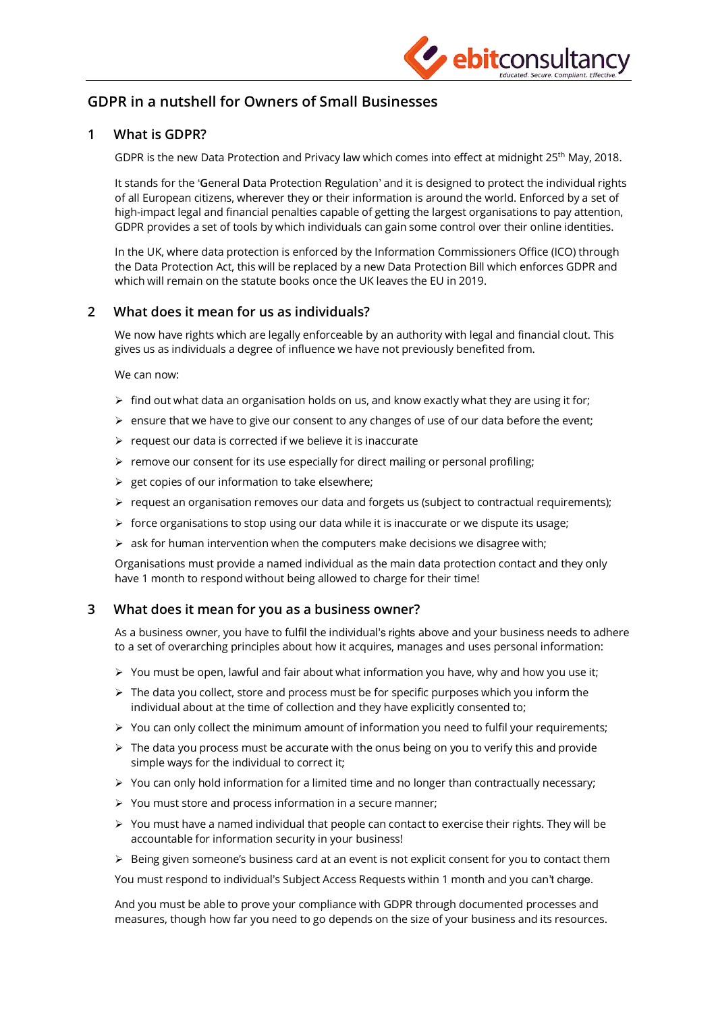

# **GDPR in a nutshell for Owners of Small Businesses**

## **1 What is GDPR?**

GDPR is the new Data Protection and Privacy law which comes into effect at midnight 25<sup>th</sup> May, 2018.

It stands for the '**G**eneral **D**ata **P**rotection **R**egulation' and it is designed to protect the individual rights of all European citizens, wherever they or their information is around the world. Enforced by a set of high-impact legal and financial penalties capable of getting the largest organisations to pay attention, GDPR provides a set of tools by which individuals can gain some control over their online identities.

In the UK, where data protection is enforced by the Information Commissioners Office (ICO) through the Data Protection Act, this will be replaced by a new Data Protection Bill which enforces GDPR and which will remain on the statute books once the UK leaves the EU in 2019.

### **2 What does it mean for us as individuals?**

We now have rights which are legally enforceable by an authority with legal and financial clout. This gives us as individuals a degree of influence we have not previously benefited from.

We can now:

- $\triangleright$  find out what data an organisation holds on us, and know exactly what they are using it for;
- $\triangleright$  ensure that we have to give our consent to any changes of use of our data before the event;
- $\triangleright$  request our data is corrected if we believe it is inaccurate
- $\triangleright$  remove our consent for its use especially for direct mailing or personal profiling;
- $\triangleright$  get copies of our information to take elsewhere;
- $\triangleright$  request an organisation removes our data and forgets us (subject to contractual requirements);
- $\triangleright$  force organisations to stop using our data while it is inaccurate or we dispute its usage;
- $\triangleright$  ask for human intervention when the computers make decisions we disagree with;

Organisations must provide a named individual as the main data protection contact and they only have 1 month to respond without being allowed to charge for their time!

#### **3 What does it mean for you as a business owner?**

As a business owner, you have to fulfil the individual's rights above and your business needs to adhere to a set of overarching principles about how it acquires, manages and uses personal information:

- $\triangleright$  You must be open, lawful and fair about what information you have, why and how you use it;
- $\triangleright$  The data you collect, store and process must be for specific purposes which you inform the individual about at the time of collection and they have explicitly consented to;
- $\triangleright$  You can only collect the minimum amount of information you need to fulfil your requirements;
- $\triangleright$  The data you process must be accurate with the onus being on you to verify this and provide simple ways for the individual to correct it;
- $\triangleright$  You can only hold information for a limited time and no longer than contractually necessary;
- $\triangleright$  You must store and process information in a secure manner;
- $\triangleright$  You must have a named individual that people can contact to exercise their rights. They will be accountable for information security in your business!
- $\triangleright$  Being given someone's business card at an event is not explicit consent for you to contact them

You must respond to individual's Subject Access Requests within 1 month and you can't charge.

And you must be able to prove your compliance with GDPR through documented processes and measures, though how far you need to go depends on the size of your business and its resources.